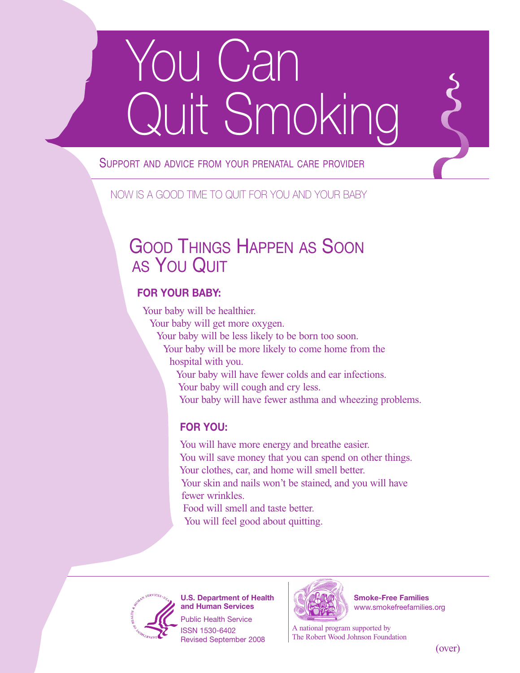# ou Can Quit Smoking

#### SUPPORT AND ADVICE FROM YOUR PRENATAL CARE PROVIDER

#### NOW IS A GOOD TIME TO QUIT FOR YOU AND YOUR BABY

### GOOD THINGS HAPPEN AS SOON AS YOU QUIT

#### **FOR YOUR BABY:**

Your baby will be healthier.

Your baby will get more oxygen.

Your baby will be less likely to be born too soon.

Your baby will be more likely to come home from the hospital with you.

Your baby will have fewer colds and ear infections. Your baby will cough and cry less.

Your baby will have fewer asthma and wheezing problems.

#### **FOR YOU:**

You will have more energy and breathe easier. You will save money that you can spend on other things. Your clothes, car, and home will smell better. Your skin and nails won't be stained, and you will have fewer wrinkles. Food will smell and taste better.

You will feel good about quitting.



**U.S. Department of Health and Human Services**

Public Health Service ISSN 1530-6402 Revised September 2008



**Smoke-Free Families** www.smokefreefamilies.org

A national program supported by The Robert Wood Johnson Foundation

(over)